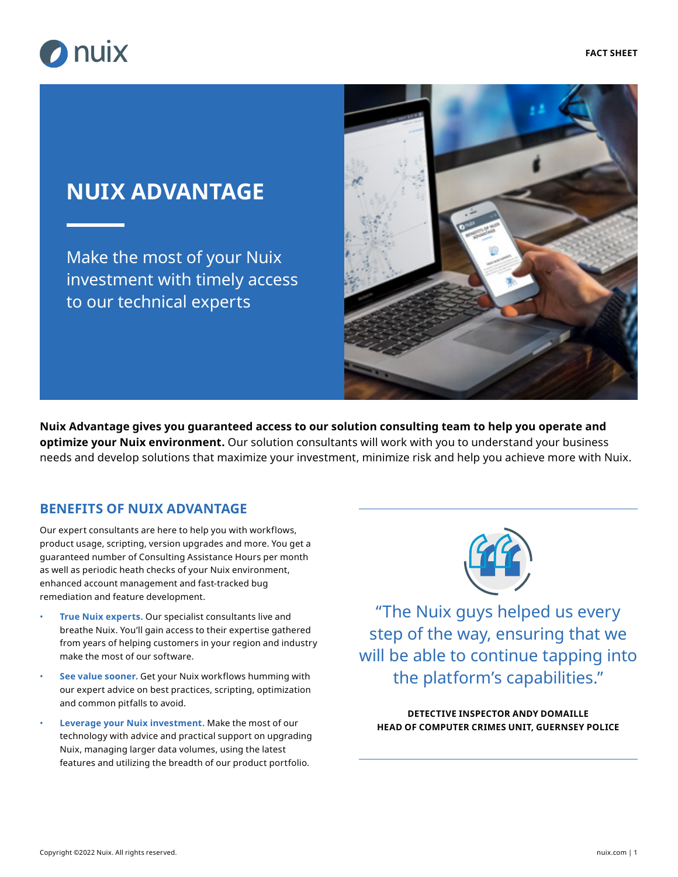

# **NUIX ADVANTAGE**

Make the most of your Nuix investment with timely access to our technical experts



**Nuix Advantage gives you guaranteed access to our solution consulting team to help you operate and optimize your Nuix environment.** Our solution consultants will work with you to understand your business needs and develop solutions that maximize your investment, minimize risk and help you achieve more with Nuix.

### **BENEFITS OF NUIX ADVANTAGE**

Our expert consultants are here to help you with workflows, product usage, scripting, version upgrades and more. You get a guaranteed number of Consulting Assistance Hours per month as well as periodic heath checks of your Nuix environment, enhanced account management and fast-tracked bug remediation and feature development.

- **True Nuix experts.** Our specialist consultants live and breathe Nuix. You'll gain access to their expertise gathered from years of helping customers in your region and industry make the most of our software.
- **See value sooner.** Get your Nuix workflows humming with our expert advice on best practices, scripting, optimization and common pitfalls to avoid.
- **Leverage your Nuix investment.** Make the most of our technology with advice and practical support on upgrading Nuix, managing larger data volumes, using the latest features and utilizing the breadth of our product portfolio.



"The Nuix guys helped us every step of the way, ensuring that we will be able to continue tapping into the platform's capabilities."

**DETECTIVE INSPECTOR ANDY DOMAILLE HEAD OF COMPUTER CRIMES UNIT, GUERNSEY POLICE**